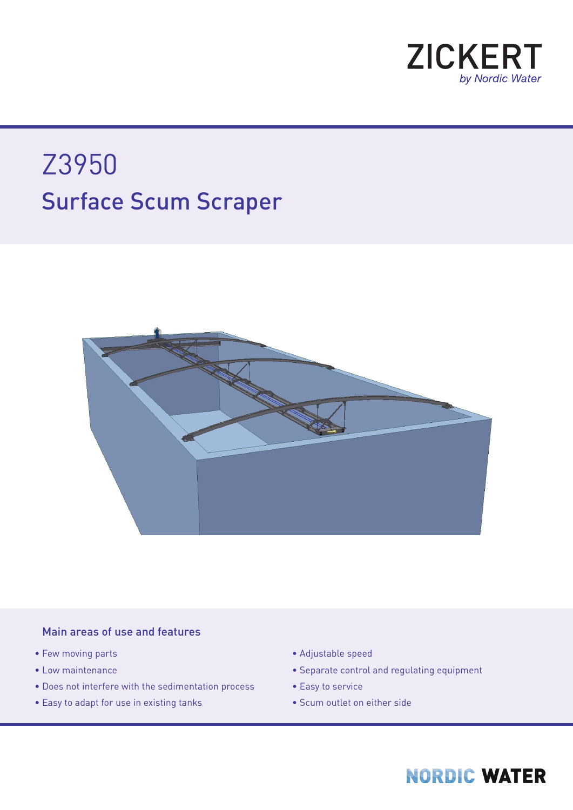

# Surface Scum Scraper Z3950



### Main areas of use and features

- Few moving parts
- Low maintenance
- Does not interfere with the sedimentation process
- Easy to adapt for use in existing tanks
- Adjustable speed
- Separate control and regulating equipment
- Easy to service
- Scum outlet on either side

### **NORDIC WATER**